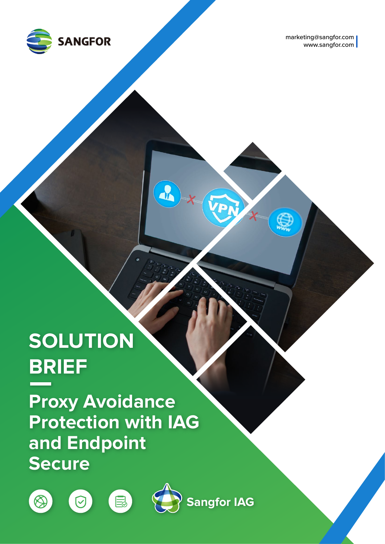

marketing@sangfor.com www.sangfor.com

**X**

**X**

VPI

 $\mathbf{R}$ 

# **SOLUTION BRIEF**

**Proxy Avoidance Protection with IAG and Endpoint Secure**

 $\blacksquare$ 







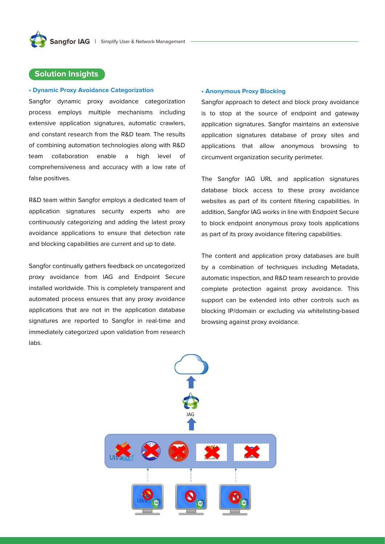## **Solution Insights**

### **• Dynamic Proxy Avoidance Categorization**

Sangfor dynamic proxy avoidance categorization process employs multiple mechanisms including extensive application signatures, automatic crawlers, and constant research from the R&D team. The results of combining automation technologies along with R&D team collaboration enable a high level of comprehensiveness and accuracy with a low rate of false positives.

R&D team within Sangfor employs a dedicated team of application signatures security experts who are continuously categorizing and adding the latest proxy avoidance applications to ensure that detection rate and blocking capabilities are current and up to date.

Sangfor continually gathers feedback on uncategorized proxy avoidance from IAG and Endpoint Secure installed worldwide. This is completely transparent and automated process ensures that any proxy avoidance applications that are not in the application database signatures are reported to Sangfor in real-time and immediately categorized upon validation from research labs.

#### **• Anonymous Proxy Blocking**

Sangfor approach to detect and block proxy avoidance is to stop at the source of endpoint and gateway application signatures. Sangfor maintains an extensive application signatures database of proxy sites and applications that allow anonymous browsing to circumvent organization security perimeter.

The Sangfor IAG URL and application signatures database block access to these proxy avoidance websites as part of its content filtering capabilities. In addition, Sangfor IAG works in line with Endpoint Secure to block endpoint anonymous proxy tools applications as part of its proxy avoidance filtering capabilities.

The content and application proxy databases are built by a combination of techniques including Metadata, automatic inspection, and R&D team research to provide complete protection against proxy avoidance. This support can be extended into other controls such as blocking IP/domain or excluding via whitelisting-based browsing against proxy avoidance.